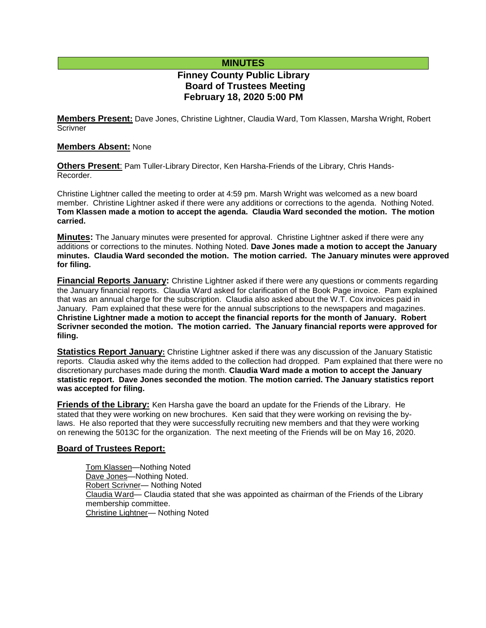# **MINUTES**

# **Finney County Public Library Board of Trustees Meeting February 18, 2020 5:00 PM**

**Members Present:** Dave Jones, Christine Lightner, Claudia Ward, Tom Klassen, Marsha Wright, Robert **Scrivner** 

### **Members Absent:** None

**Others Present**: Pam Tuller-Library Director, Ken Harsha-Friends of the Library, Chris Hands-Recorder.

Christine Lightner called the meeting to order at 4:59 pm. Marsh Wright was welcomed as a new board member. Christine Lightner asked if there were any additions or corrections to the agenda. Nothing Noted. **Tom Klassen made a motion to accept the agenda. Claudia Ward seconded the motion. The motion carried.**

**Minutes:** The January minutes were presented for approval. Christine Lightner asked if there were any additions or corrections to the minutes. Nothing Noted. **Dave Jones made a motion to accept the January minutes. Claudia Ward seconded the motion. The motion carried. The January minutes were approved for filing.** 

**Financial Reports January:** Christine Lightner asked if there were any questions or comments regarding the January financial reports. Claudia Ward asked for clarification of the Book Page invoice. Pam explained that was an annual charge for the subscription. Claudia also asked about the W.T. Cox invoices paid in January. Pam explained that these were for the annual subscriptions to the newspapers and magazines. **Christine Lightner made a motion to accept the financial reports for the month of January. Robert Scrivner seconded the motion. The motion carried. The January financial reports were approved for filing.**

**Statistics Report January:** Christine Lightner asked if there was any discussion of the January Statistic reports. Claudia asked why the items added to the collection had dropped. Pam explained that there were no discretionary purchases made during the month. **Claudia Ward made a motion to accept the January statistic report. Dave Jones seconded the motion**. **The motion carried. The January statistics report was accepted for filing.**

**Friends of the Library:** Ken Harsha gave the board an update for the Friends of the Library. He stated that they were working on new brochures. Ken said that they were working on revising the bylaws. He also reported that they were successfully recruiting new members and that they were working on renewing the 5013C for the organization. The next meeting of the Friends will be on May 16, 2020.

### **Board of Trustees Report:**

Tom Klassen—Nothing Noted Dave Jones—Nothing Noted. Robert Scrivner— Nothing Noted Claudia Ward— Claudia stated that she was appointed as chairman of the Friends of the Library membership committee. Christine Lightner— Nothing Noted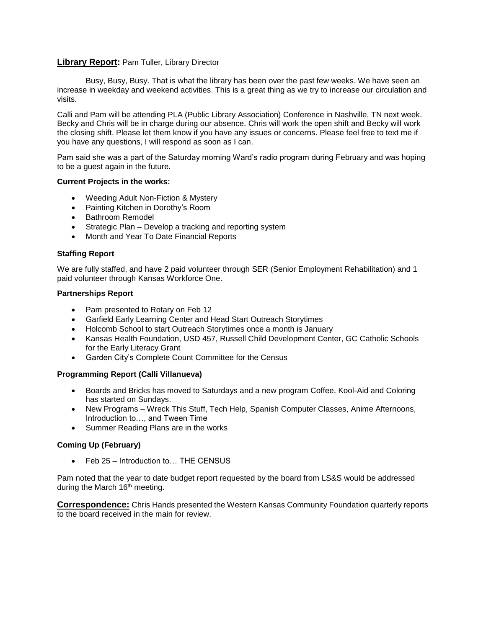### **Library Report:** Pam Tuller, Library Director

Busy, Busy, Busy. That is what the library has been over the past few weeks. We have seen an increase in weekday and weekend activities. This is a great thing as we try to increase our circulation and visits.

Calli and Pam will be attending PLA (Public Library Association) Conference in Nashville, TN next week. Becky and Chris will be in charge during our absence. Chris will work the open shift and Becky will work the closing shift. Please let them know if you have any issues or concerns. Please feel free to text me if you have any questions, I will respond as soon as I can.

Pam said she was a part of the Saturday morning Ward's radio program during February and was hoping to be a guest again in the future.

#### **Current Projects in the works:**

- Weeding Adult Non-Fiction & Mystery
- Painting Kitchen in Dorothy's Room
- Bathroom Remodel
- Strategic Plan Develop a tracking and reporting system
- Month and Year To Date Financial Reports

### **Staffing Report**

We are fully staffed, and have 2 paid volunteer through SER (Senior Employment Rehabilitation) and 1 paid volunteer through Kansas Workforce One.

#### **Partnerships Report**

- Pam presented to Rotary on Feb 12
- Garfield Early Learning Center and Head Start Outreach Storytimes
- Holcomb School to start Outreach Storytimes once a month is January
- Kansas Health Foundation, USD 457, Russell Child Development Center, GC Catholic Schools for the Early Literacy Grant
- Garden City's Complete Count Committee for the Census

#### **Programming Report (Calli Villanueva)**

- Boards and Bricks has moved to Saturdays and a new program Coffee, Kool-Aid and Coloring has started on Sundays.
- New Programs Wreck This Stuff, Tech Help, Spanish Computer Classes, Anime Afternoons, Introduction to…, and Tween Time
- Summer Reading Plans are in the works

#### **Coming Up (February)**

● Feb 25 – Introduction to... THE CENSUS

Pam noted that the year to date budget report requested by the board from LS&S would be addressed during the March 16<sup>th</sup> meeting.

**Correspondence:** Chris Hands presented the Western Kansas Community Foundation quarterly reports to the board received in the main for review.